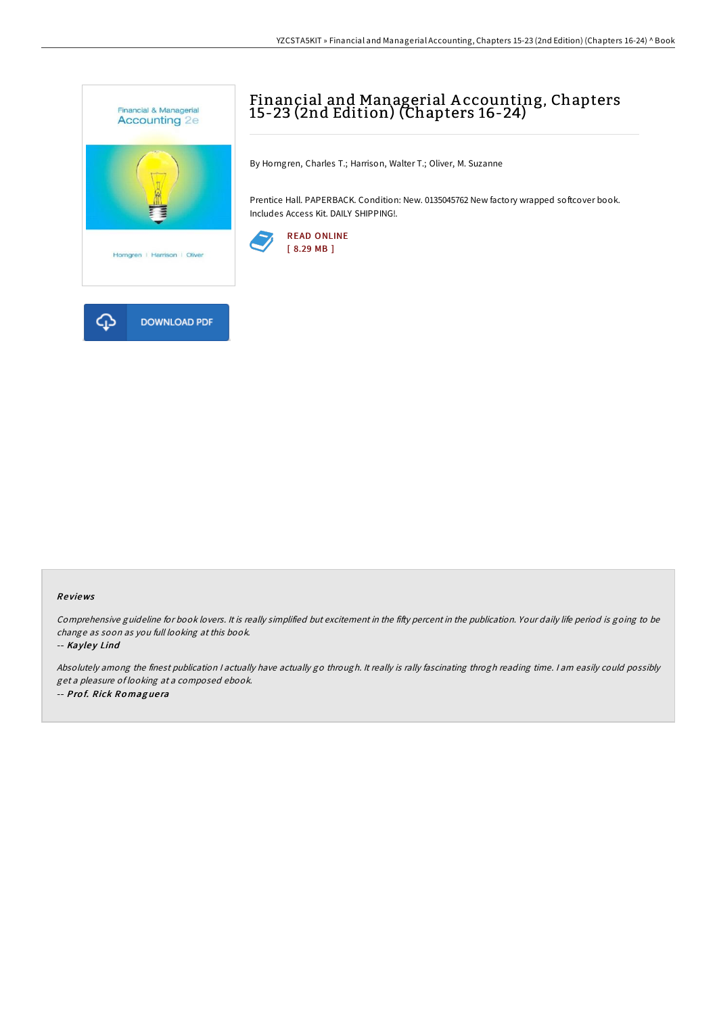

# Financial and Managerial A ccounting, Chapters 15-23 (2nd Edition) (Chapters 16-24)

By Horngren, Charles T.; Harrison, Walter T.; Oliver, M. Suzanne

Prentice Hall. PAPERBACK. Condition: New. 0135045762 New factory wrapped softcover book. Includes Access Kit. DAILY SHIPPING!.



### Re views

Comprehensive guideline for book lovers. It is really simplified but excitement in the fifty percent in the publication. Your daily life period is going to be change as soon as you full looking at this book.

#### -- Kayley Lind

Absolutely among the finest publication <sup>I</sup> actually have actually go through. It really is rally fascinating throgh reading time. <sup>I</sup> am easily could possibly get <sup>a</sup> pleasure of looking at <sup>a</sup> composed ebook. -- Pro f. Rick Ro mag ue ra